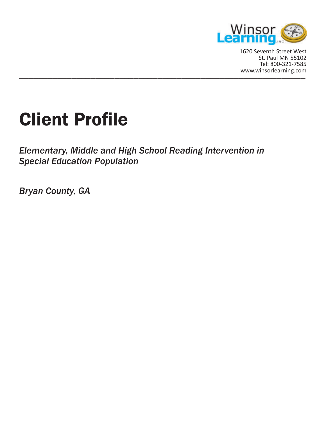

\_\_\_\_\_\_\_\_\_\_\_\_\_\_\_\_\_\_\_\_\_\_\_\_\_\_\_\_\_\_\_\_\_\_\_\_\_\_\_\_\_\_\_\_\_\_\_\_\_\_\_\_\_\_\_\_\_\_\_\_ www.winsorlearning.com1620 Seventh Street West St. Paul MN 55102 Tel: 800-321-7585

# Client Profile

*Elementary, Middle and High School Reading Intervention in Special Education Population*

*Bryan County, GA*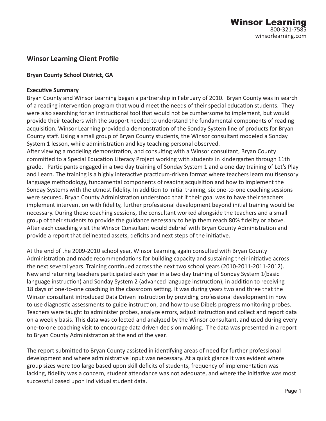# **Winsor Learning Client Profile**

#### **Bryan County School District, GA**

#### **Executive Summary**

Bryan County and Winsor Learning began a partnership in February of 2010. Bryan County was in search of a reading intervention program that would meet the needs of their special education students. They were also searching for an instructional tool that would not be cumbersome to implement, but would provide their teachers with the support needed to understand the fundamental components of reading acquisition. Winsor Learning provided a demonstration of the Sonday System line of products for Bryan County staff. Using a small group of Bryan County students, the Winsor consultant modeled a Sonday System 1 lesson, while administration and key teaching personal observed.

After viewing a modeling demonstration, and consulting with a Winsor consultant, Bryan County committed to a Special Education Literacy Project working with students in kindergarten through 11th grade. Participants engaged in a two day training of Sonday System 1 and a one day training of Let's Play and Learn. The training is a highly interactive practicum-driven format where teachers learn multisensory language methodology, fundamental components of reading acquisition and how to implement the Sonday Systems with the utmost fidelity. In addition to initial training, six one-to-one coaching sessions were secured. Bryan County Administration understood that if their goal was to have their teachers implement intervention with fidelity, further professional development beyond initial training would be necessary. During these coaching sessions, the consultant worked alongside the teachers and a small group of their students to provide the guidance necessary to help them reach 80% fidelity or above. After each coaching visit the Winsor Consultant would debrief with Bryan County Administration and provide a report that delineated assets, deficits and next steps of the initiative.

At the end of the 2009-2010 school year, Winsor Learning again consulted with Bryan County Administration and made recommendations for building capacity and sustaining their initiative across the next several years. Training continued across the next two school years (2010-2011-2011-2012). New and returning teachers participated each year in a two day training of Sonday System 1(basic language instruction) and Sonday System 2 (advanced language instruction), in addition to receiving 18 days of one-to-one coaching in the classroom setting. It was during years two and three that the Winsor consultant introduced Data Driven Instruction by providing professional development in how to use diagnostic assessments to guide instruction, and how to use Dibels progress monitoring probes. Teachers were taught to administer probes, analyze errors, adjust instruction and collect and report data on a weekly basis. This data was collected and analyzed by the Winsor consultant, and used during every one-to-one coaching visit to encourage data driven decision making. The data was presented in a report to Bryan County Administration at the end of the year.

The report submitted to Bryan County assisted in identifying areas of need for further professional development and where administrative input was necessary. At a quick glance it was evident where group sizes were too large based upon skill deficits of students, frequency of implementation was lacking, fidelity was a concern, student attendance was not adequate, and where the initiative was most successful based upon individual student data.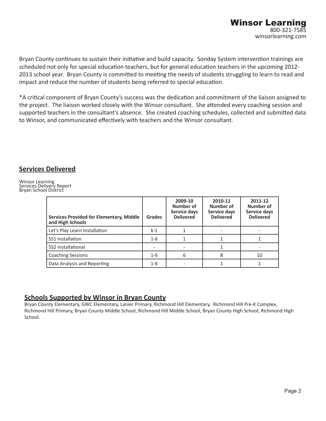Bryan County continues to sustain their initiative and build capacity. Sonday System intervention trainings are scheduled not only for special education teachers, but for general education teachers in the upcoming 2012- 2013 school year. Bryan County is committed to meeting the needs of students struggling to learn to read and impact and reduce the number of students being referred to special education.

\*A critical component of Bryan County's success was the dedication and commitment of the liaison assigned to the project. The liaison worked closely with the Winsor consultant. She attended every coaching session and supported teachers in the consultant's absence. She created coaching schedules, collected and submitted data to Winsor, and communicated effectively with teachers and the Winsor consultant.

## **Services Delivered**

Winsor Learning Services Delivery Report Bryan School District

| <b>Services Provided for Elementary, Middle</b><br>and High Schools | <b>Grades</b> | 2009-10<br>Number of<br>Service days<br><b>Delivered</b> | 2010-11<br>Number of<br>Service days<br><b>Delivered</b> | 2011-12<br>Number of<br>Service days<br><b>Delivered</b> |
|---------------------------------------------------------------------|---------------|----------------------------------------------------------|----------------------------------------------------------|----------------------------------------------------------|
| Let's Play Learn Installation                                       | $k-1$         |                                                          |                                                          |                                                          |
| SS1 Installation                                                    | $1 - 6$       |                                                          |                                                          |                                                          |
| SS2 Installational                                                  |               |                                                          |                                                          |                                                          |
| <b>Coaching Sessions</b>                                            | $1 - 6$       | 6                                                        | 8                                                        | 10                                                       |
| Data Analysis and Reporting                                         | $1 - 6$       |                                                          |                                                          |                                                          |

## **Schools Supported by Winsor in Bryan County**

Bryan County Elementary, GWC Elementary, Lanier Primary, Richmond Hill Elementary, Richmond Hill Pre-K Complex, Richmond Hill Primary, Bryan County Middle School, Richmond Hill Middle School, Bryan County High School, Richmond High School.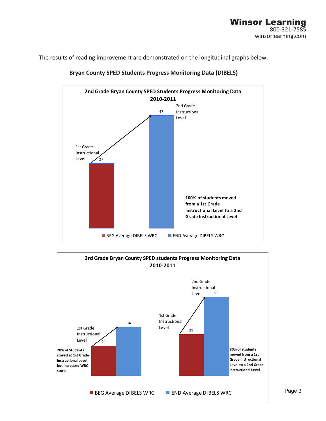The results of reading improvement are demonstrated on the longitudinal graphs below:



#### **Bryan County SPED Students Progress Monitoring Data (DIBELS)**

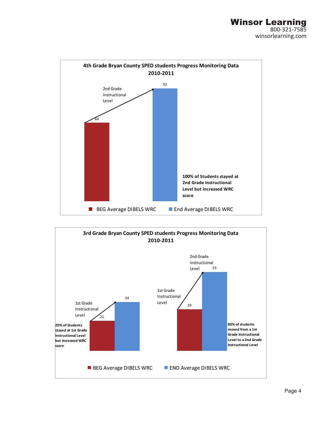